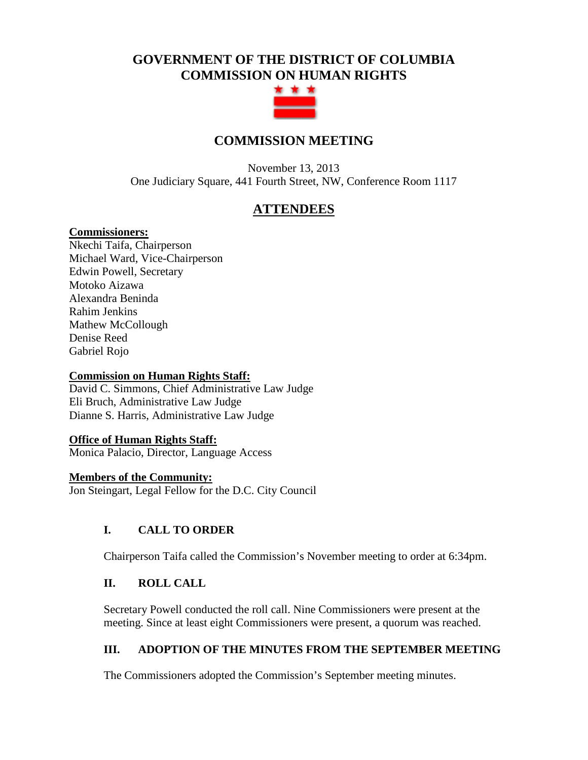# **GOVERNMENT OF THE DISTRICT OF COLUMBIA COMMISSION ON HUMAN RIGHTS**



# **COMMISSION MEETING**

November 13, 2013 One Judiciary Square, 441 Fourth Street, NW, Conference Room 1117

# **ATTENDEES**

### **Commissioners:**

Nkechi Taifa, Chairperson Michael Ward, Vice-Chairperson Edwin Powell, Secretary Motoko Aizawa Alexandra Beninda Rahim Jenkins Mathew McCollough Denise Reed Gabriel Rojo

### **Commission on Human Rights Staff:**

David C. Simmons, Chief Administrative Law Judge Eli Bruch, Administrative Law Judge Dianne S. Harris, Administrative Law Judge

### **Office of Human Rights Staff:**

Monica Palacio, Director, Language Access

#### **Members of the Community:**

Jon Steingart, Legal Fellow for the D.C. City Council

### **I. CALL TO ORDER**

Chairperson Taifa called the Commission's November meeting to order at 6:34pm.

### **II. ROLL CALL**

Secretary Powell conducted the roll call. Nine Commissioners were present at the meeting. Since at least eight Commissioners were present, a quorum was reached.

### **III. ADOPTION OF THE MINUTES FROM THE SEPTEMBER MEETING**

The Commissioners adopted the Commission's September meeting minutes.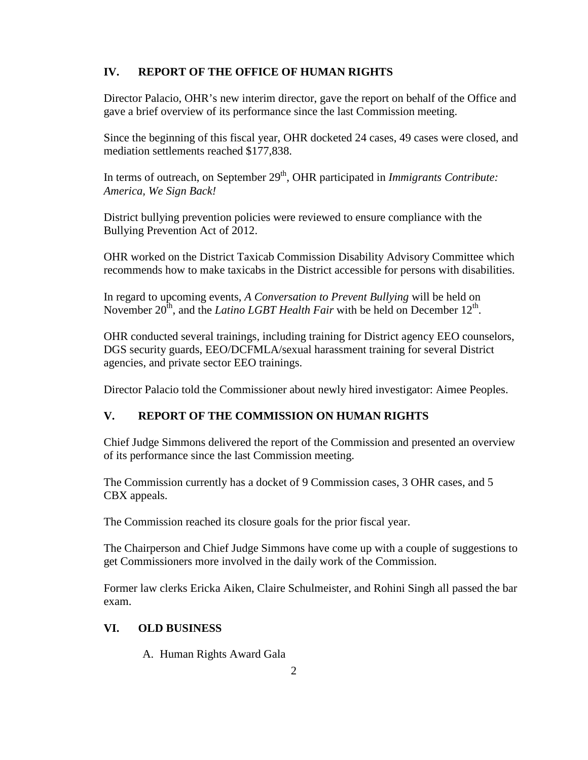## **IV. REPORT OF THE OFFICE OF HUMAN RIGHTS**

Director Palacio, OHR's new interim director, gave the report on behalf of the Office and gave a brief overview of its performance since the last Commission meeting.

Since the beginning of this fiscal year, OHR docketed 24 cases, 49 cases were closed, and mediation settlements reached \$177,838.

In terms of outreach, on September 29<sup>th</sup>, OHR participated in *Immigrants Contribute: America, We Sign Back!*

District bullying prevention policies were reviewed to ensure compliance with the Bullying Prevention Act of 2012.

OHR worked on the District Taxicab Commission Disability Advisory Committee which recommends how to make taxicabs in the District accessible for persons with disabilities.

In regard to upcoming events, *A Conversation to Prevent Bullying* will be held on November  $20^{th}$ , and the *Latino LGBT Health Fair* with be held on December  $12^{th}$ .

OHR conducted several trainings, including training for District agency EEO counselors, DGS security guards, EEO/DCFMLA/sexual harassment training for several District agencies, and private sector EEO trainings.

Director Palacio told the Commissioner about newly hired investigator: Aimee Peoples.

## **V. REPORT OF THE COMMISSION ON HUMAN RIGHTS**

Chief Judge Simmons delivered the report of the Commission and presented an overview of its performance since the last Commission meeting.

The Commission currently has a docket of 9 Commission cases, 3 OHR cases, and 5 CBX appeals.

The Commission reached its closure goals for the prior fiscal year.

The Chairperson and Chief Judge Simmons have come up with a couple of suggestions to get Commissioners more involved in the daily work of the Commission.

Former law clerks Ericka Aiken, Claire Schulmeister, and Rohini Singh all passed the bar exam.

## **VI. OLD BUSINESS**

A. Human Rights Award Gala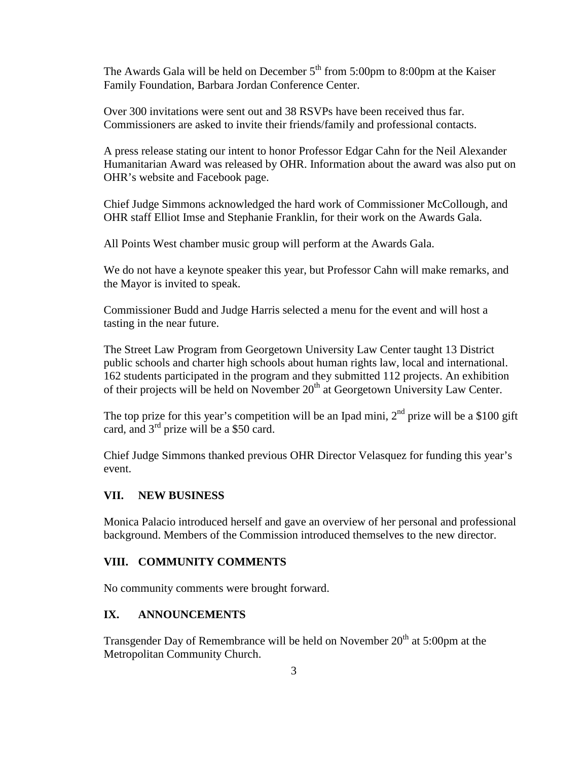The Awards Gala will be held on December  $5<sup>th</sup>$  from 5:00pm to 8:00pm at the Kaiser Family Foundation, Barbara Jordan Conference Center.

Over 300 invitations were sent out and 38 RSVPs have been received thus far. Commissioners are asked to invite their friends/family and professional contacts.

A press release stating our intent to honor Professor Edgar Cahn for the Neil Alexander Humanitarian Award was released by OHR. Information about the award was also put on OHR's website and Facebook page.

Chief Judge Simmons acknowledged the hard work of Commissioner McCollough, and OHR staff Elliot Imse and Stephanie Franklin, for their work on the Awards Gala.

All Points West chamber music group will perform at the Awards Gala.

We do not have a keynote speaker this year, but Professor Cahn will make remarks, and the Mayor is invited to speak.

Commissioner Budd and Judge Harris selected a menu for the event and will host a tasting in the near future.

The Street Law Program from Georgetown University Law Center taught 13 District public schools and charter high schools about human rights law, local and international. 162 students participated in the program and they submitted 112 projects. An exhibition of their projects will be held on November  $20<sup>th</sup>$  at Georgetown University Law Center.

The top prize for this year's competition will be an Ipad mini,  $2<sup>nd</sup>$  prize will be a \$100 gift card, and  $3<sup>rd</sup>$  prize will be a \$50 card.

Chief Judge Simmons thanked previous OHR Director Velasquez for funding this year's event.

#### **VII. NEW BUSINESS**

Monica Palacio introduced herself and gave an overview of her personal and professional background. Members of the Commission introduced themselves to the new director.

### **VIII. COMMUNITY COMMENTS**

No community comments were brought forward.

#### **IX. ANNOUNCEMENTS**

Transgender Day of Remembrance will be held on November  $20<sup>th</sup>$  at 5:00pm at the Metropolitan Community Church.